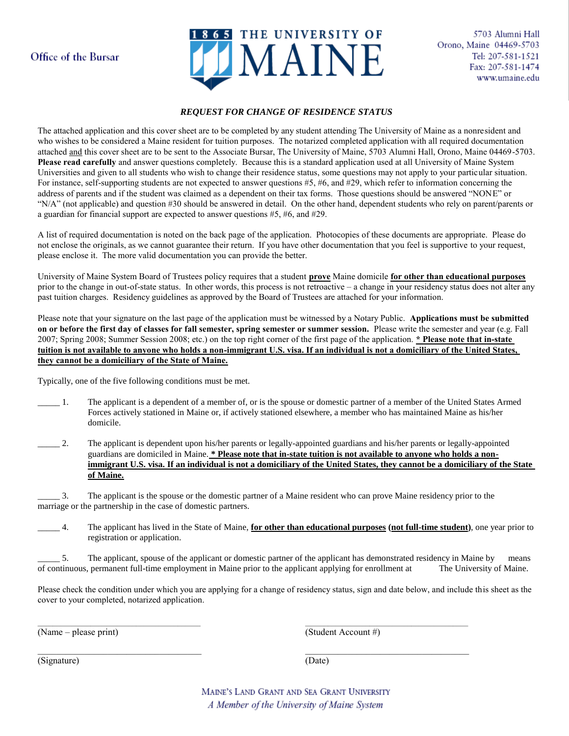## Office of the Bursar



### *REQUEST FOR CHANGE OF RESIDENCE STATUS*

The attached application and this cover sheet are to be completed by any student attending The University of Maine as a nonresident and who wishes to be considered a Maine resident for tuition purposes. The notarized completed application with all required documentation attached and this cover sheet are to be sent to the Associate Bursar, The University of Maine, 5703 Alumni Hall, Orono, Maine 04469-5703. **Please read carefully** and answer questions completely. Because this is a standard application used at all University of Maine System Universities and given to all students who wish to change their residence status, some questions may not apply to your particular situation. For instance, self-supporting students are not expected to answer questions #5, #6, and #29, which refer to information concerning the address of parents and if the student was claimed as a dependent on their tax forms. Those questions should be answered "NONE" or "N/A" (not applicable) and question #30 should be answered in detail. On the other hand, dependent students who rely on parent/parents or a guardian for financial support are expected to answer questions #5, #6, and #29.

A list of required documentation is noted on the back page of the application. Photocopies of these documents are appropriate. Please do not enclose the originals, as we cannot guarantee their return. If you have other documentation that you feel is supportive to your request, please enclose it. The more valid documentation you can provide the better.

University of Maine System Board of Trustees policy requires that a student **prove** Maine domicile **for other than educational purposes** prior to the change in out-of-state status. In other words, this process is not retroactive – a change in your residency status does not alter any past tuition charges. Residency guidelines as approved by the Board of Trustees are attached for your information.

Please note that your signature on the last page of the application must be witnessed by a Notary Public. **Applications must be submitted on or before the first day of classes for fall semester, spring semester or summer session.** Please write the semester and year (e.g. Fall 2007; Spring 2008; Summer Session 2008; etc.) on the top right corner of the first page of the application. **\* Please note that in-state tuition is not available to anyone who holds a non-immigrant U.S. visa. If an individual is not a domiciliary of the United States, they cannot be a domiciliary of the State of Maine.**

Typically, one of the five following conditions must be met.

- \_\_\_\_\_ 1. The applicant is a dependent of a member of, or is the spouse or domestic partner of a member of the United States Armed Forces actively stationed in Maine or, if actively stationed elsewhere, a member who has maintained Maine as his/her domicile.
- \_\_\_\_\_ 2. The applicant is dependent upon his/her parents or legally-appointed guardians and his/her parents or legally-appointed guardians are domiciled in Maine. **\* Please note that in-state tuition is not available to anyone who holds a nonimmigrant U.S. visa. If an individual is not a domiciliary of the United States, they cannot be a domiciliary of the State of Maine.**

\_\_\_\_\_ 3. The applicant is the spouse or the domestic partner of a Maine resident who can prove Maine residency prior to the marriage or the partnership in the case of domestic partners.

\_\_\_\_\_ 4. The applicant has lived in the State of Maine, **for other than educational purposes (not full-time student)**, one year prior to registration or application.

5. The applicant, spouse of the applicant or domestic partner of the applicant has demonstrated residency in Maine by means of continuous, permanent full-time employment in Maine prior to the applicant applying for enrollment at The University of Maine.

Please check the condition under which you are applying for a change of residency status, sign and date below, and include this sheet as the cover to your completed, notarized application.

(Name – please print) (Student Account #)

(Signature) (Date)

MAINE'S LAND GRANT AND SEA GRANT UNIVERSITY A Member of the University of Maine System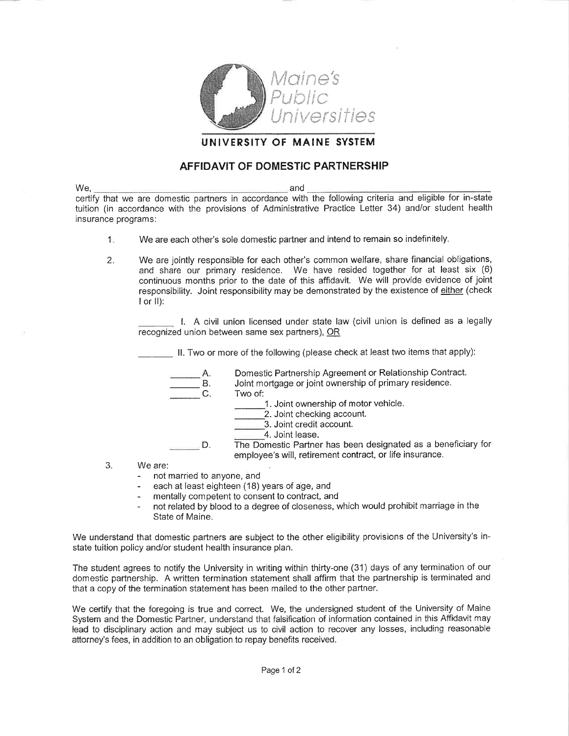

### UNIVERSITY OF MAINE SYSTEM

### **AFFIDAVIT OF DOMESTIC PARTNERSHIP**

We, and certify that we are domestic partners in accordance with the following criteria and eligible for in-state tuition (in accordance with the provisions of Administrative Practice Letter 34) and/or student health insurance programs:

- $1<sub>1</sub>$ We are each other's sole domestic partner and intend to remain so indefinitely.
- We are jointly responsible for each other's common welfare, share financial obligations,  $2.$ and share our primary residence. We have resided together for at least six (6) continuous months prior to the date of this affidavit. We will provide evidence of joint responsibility. Joint responsibility may be demonstrated by the existence of either (check  $I$  or  $II)$ :

1. A civil union licensed under state law (civil union is defined as a legally recognized union between same sex partners), OR

II. Two or more of the following (please check at least two items that apply):

Domestic Partnership Agreement or Relationship Contract. Α.

- **B.** Joint mortgage or joint ownership of primary residence.
- $C_{\cdot}$ Two of:

1. Joint ownership of motor vehicle.

- 2. Joint checking account.
- 3. Joint credit account.
- 4. Joint lease.

The Domestic Partner has been designated as a beneficiary for D. employee's will, retirement contract, or life insurance.

- 3. We are:
	- not married to anyone, and
	- each at least eighteen (18) years of age, and
	- mentally competent to consent to contract, and  $\overline{a}$
	- not related by blood to a degree of closeness, which would prohibit marriage in the State of Maine.

We understand that domestic partners are subject to the other eligibility provisions of the University's instate tuition policy and/or student health insurance plan.

The student agrees to notify the University in writing within thirty-one (31) days of any termination of our domestic partnership. A written termination statement shall affirm that the partnership is terminated and that a copy of the termination statement has been mailed to the other partner.

We certify that the foregoing is true and correct. We, the undersigned student of the University of Maine System and the Domestic Partner, understand that falsification of information contained in this Affidavit may lead to disciplinary action and may subject us to civil action to recover any losses, including reasonable attorney's fees, in addition to an obligation to repay benefits received.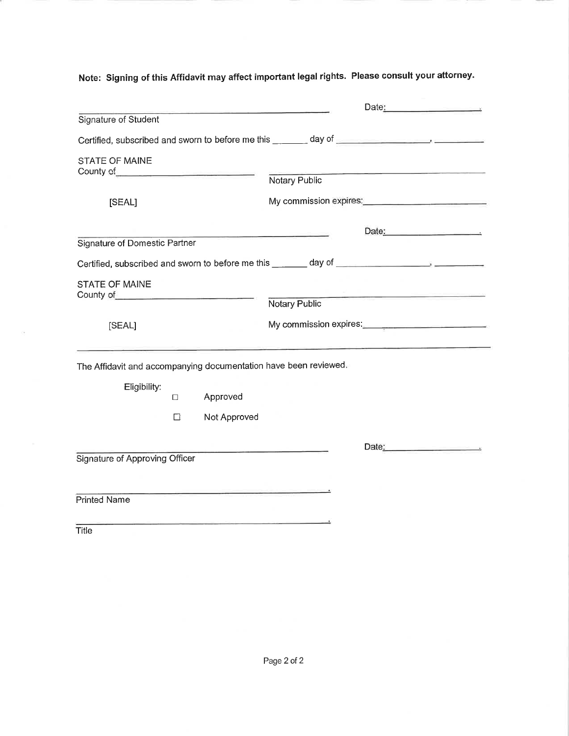Note: Signing of this Affidavit may affect important legal rights. Please consult your attorney.

|                                                                                                                                                                                                                                                               |        |                                                                                                                       |                                                  | Date:                                         |
|---------------------------------------------------------------------------------------------------------------------------------------------------------------------------------------------------------------------------------------------------------------|--------|-----------------------------------------------------------------------------------------------------------------------|--------------------------------------------------|-----------------------------------------------|
| Signature of Student                                                                                                                                                                                                                                          |        |                                                                                                                       |                                                  |                                               |
|                                                                                                                                                                                                                                                               |        |                                                                                                                       |                                                  |                                               |
| <b>STATE OF MAINE</b><br>County of <u>County of County of County of County of County of County of County of County of County of County of County of County of County of County of County of County of County of County of County of County of County of C</u> |        |                                                                                                                       |                                                  |                                               |
|                                                                                                                                                                                                                                                               |        |                                                                                                                       | Notary Public                                    |                                               |
| [SEAL]                                                                                                                                                                                                                                                        |        |                                                                                                                       |                                                  |                                               |
|                                                                                                                                                                                                                                                               |        |                                                                                                                       | <u> 1980 - Jan Barnett, amerikansk politiker</u> | Date:                                         |
| <b>Signature of Domestic Partner</b>                                                                                                                                                                                                                          |        |                                                                                                                       |                                                  |                                               |
|                                                                                                                                                                                                                                                               |        |                                                                                                                       |                                                  |                                               |
| <b>STATE OF MAINE</b><br>County of <u>County of County of County of County of County of County of County of County of County of County of County of County of County of County of County of County of County of County of County of County of County of C</u> |        |                                                                                                                       |                                                  |                                               |
|                                                                                                                                                                                                                                                               |        |                                                                                                                       | Notary Public                                    |                                               |
| [SEAL]                                                                                                                                                                                                                                                        |        |                                                                                                                       |                                                  | My commission expires: My commission expires: |
|                                                                                                                                                                                                                                                               |        |                                                                                                                       |                                                  |                                               |
| The Affidavit and accompanying documentation have been reviewed.                                                                                                                                                                                              |        |                                                                                                                       |                                                  |                                               |
| Eligibility:                                                                                                                                                                                                                                                  | $\Box$ | Approved                                                                                                              |                                                  |                                               |
|                                                                                                                                                                                                                                                               | □      | Not Approved                                                                                                          |                                                  |                                               |
|                                                                                                                                                                                                                                                               |        |                                                                                                                       |                                                  | Date:                                         |
| Signature of Approving Officer                                                                                                                                                                                                                                |        |                                                                                                                       |                                                  |                                               |
|                                                                                                                                                                                                                                                               |        |                                                                                                                       |                                                  |                                               |
| <b>Printed Name</b>                                                                                                                                                                                                                                           |        | <u> 1980 - An Ann an Aonaichte ann an Aonaichte ann an Aonaichte ann an Aonaichte ann an Aonaichte ann an Aonaich</u> |                                                  |                                               |
|                                                                                                                                                                                                                                                               |        |                                                                                                                       |                                                  |                                               |
| Title                                                                                                                                                                                                                                                         |        |                                                                                                                       |                                                  |                                               |
|                                                                                                                                                                                                                                                               |        |                                                                                                                       |                                                  |                                               |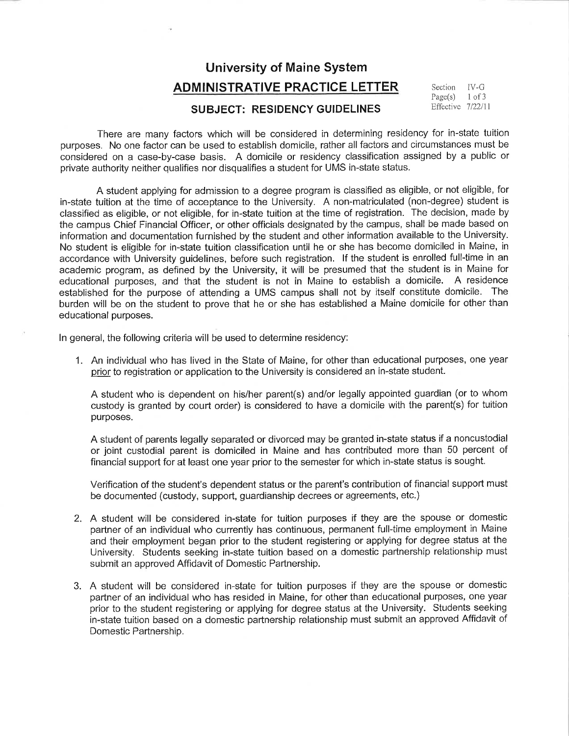## **University of Maine System ADMINISTRATIVE PRACTICE LETTER**

 $IV-G$ Section Page(s)  $1$  of  $3$ Effective 7/22/11

## **SUBJECT: RESIDENCY GUIDELINES**

There are many factors which will be considered in determining residency for in-state tuition purposes. No one factor can be used to establish domicile, rather all factors and circumstances must be considered on a case-by-case basis. A domicile or residency classification assigned by a public or private authority neither qualifies nor disqualifies a student for UMS in-state status.

A student applying for admission to a degree program is classified as eligible, or not eligible, for in-state tuition at the time of acceptance to the University. A non-matriculated (non-degree) student is classified as eligible, or not eligible, for in-state tuition at the time of registration. The decision, made by the campus Chief Financial Officer, or other officials designated by the campus, shall be made based on information and documentation furnished by the student and other information available to the University. No student is eligible for in-state tuition classification until he or she has become domiciled in Maine, in accordance with University guidelines, before such registration. If the student is enrolled full-time in an academic program, as defined by the University, it will be presumed that the student is in Maine for educational purposes, and that the student is not in Maine to establish a domicile. A residence established for the purpose of attending a UMS campus shall not by itself constitute domicile. The burden will be on the student to prove that he or she has established a Maine domicile for other than educational purposes.

In general, the following criteria will be used to determine residency:

1. An individual who has lived in the State of Maine, for other than educational purposes, one year prior to registration or application to the University is considered an in-state student.

A student who is dependent on his/her parent(s) and/or legally appointed guardian (or to whom custody is granted by court order) is considered to have a domicile with the parent(s) for tuition purposes.

A student of parents legally separated or divorced may be granted in-state status if a noncustodial or joint custodial parent is domiciled in Maine and has contributed more than 50 percent of financial support for at least one year prior to the semester for which in-state status is sought.

Verification of the student's dependent status or the parent's contribution of financial support must be documented (custody, support, guardianship decrees or agreements, etc.)

- 2. A student will be considered in-state for tuition purposes if they are the spouse or domestic partner of an individual who currently has continuous, permanent full-time employment in Maine and their employment began prior to the student registering or applying for degree status at the University. Students seeking in-state tuition based on a domestic partnership relationship must submit an approved Affidavit of Domestic Partnership.
- 3. A student will be considered in-state for tuition purposes if they are the spouse or domestic partner of an individual who has resided in Maine, for other than educational purposes, one year prior to the student registering or applying for degree status at the University. Students seeking in-state tuition based on a domestic partnership relationship must submit an approved Affidavit of Domestic Partnership.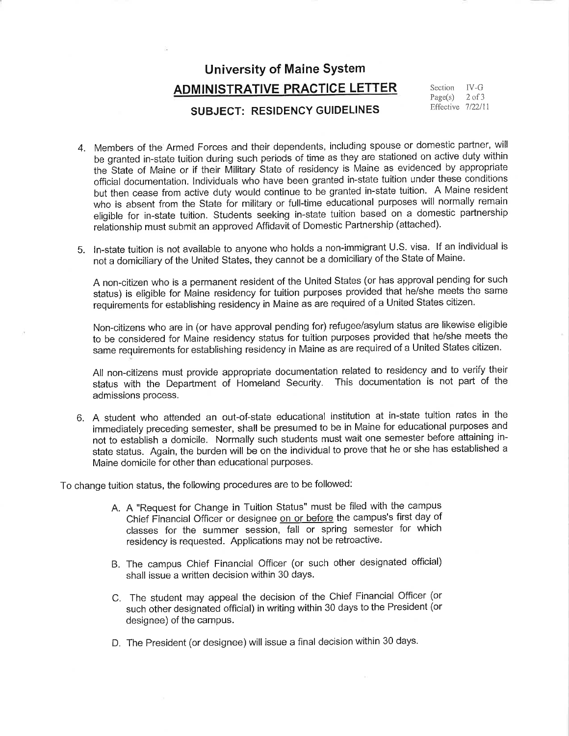## **University of Maine System ADMINISTRATIVE PRACTICE LETTER**

## SUBJECT: RESIDENCY GUIDELINES

 $IV-G$ Section  $Page(s)$  $2$  of  $3$ Effective 7/22/11

- 4. Members of the Armed Forces and their dependents, including spouse or domestic partner, will be granted in-state tuition during such periods of time as they are stationed on active duty within the State of Maine or if their Military State of residency is Maine as evidenced by appropriate official documentation. Individuals who have been granted in-state tuition under these conditions but then cease from active duty would continue to be granted in-state tuition. A Maine resident who is absent from the State for military or full-time educational purposes will normally remain eligible for in-state tuition. Students seeking in-state tuition based on a domestic partnership relationship must submit an approved Affidavit of Domestic Partnership (attached).
- 5. In-state tuition is not available to anyone who holds a non-immigrant U.S. visa. If an individual is not a domiciliary of the United States, they cannot be a domiciliary of the State of Maine.

A non-citizen who is a permanent resident of the United States (or has approval pending for such status) is eligible for Maine residency for tuition purposes provided that he/she meets the same requirements for establishing residency in Maine as are required of a United States citizen.

Non-citizens who are in (or have approval pending for) refugee/asylum status are likewise eligible to be considered for Maine residency status for tuition purposes provided that he/she meets the same requirements for establishing residency in Maine as are required of a United States citizen.

All non-citizens must provide appropriate documentation related to residency and to verify their status with the Department of Homeland Security. This documentation is not part of the admissions process.

6. A student who attended an out-of-state educational institution at in-state tuition rates in the immediately preceding semester, shall be presumed to be in Maine for educational purposes and not to establish a domicile. Normally such students must wait one semester before attaining instate status. Again, the burden will be on the individual to prove that he or she has established a Maine domicile for other than educational purposes.

To change tuition status, the following procedures are to be followed:

- A. A "Request for Change in Tuition Status" must be filed with the campus Chief Financial Officer or designee on or before the campus's first day of classes for the summer session, fall or spring semester for which residency is requested. Applications may not be retroactive.
- B. The campus Chief Financial Officer (or such other designated official) shall issue a written decision within 30 days.
- C. The student may appeal the decision of the Chief Financial Officer (or such other designated official) in writing within 30 days to the President (or designee) of the campus.
- D. The President (or designee) will issue a final decision within 30 days.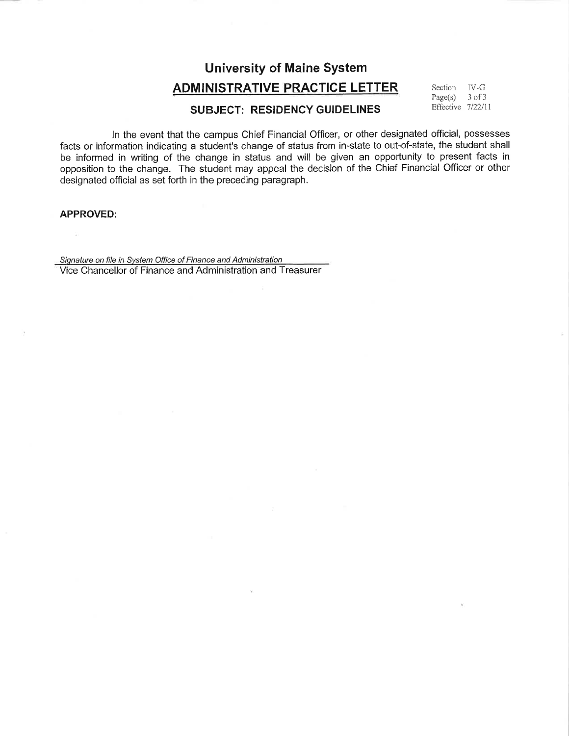## **University of Maine System**

## **ADMINISTRATIVE PRACTICE LETTER**

 $\text{IV-G}$ Section Page(s)  $3$  of  $3$ Effective 7/22/11

## **SUBJECT: RESIDENCY GUIDELINES**

In the event that the campus Chief Financial Officer, or other designated official, possesses facts or information indicating a student's change of status from in-state to out-of-state, the student shall be informed in writing of the change in status and will be given an opportunity to present facts in opposition to the change. The student may appeal the decision of the Chief Financial Officer or other designated official as set forth in the preceding paragraph.

#### **APPROVED:**

Signature on file in System Office of Finance and Administration Vice Chancellor of Finance and Administration and Treasurer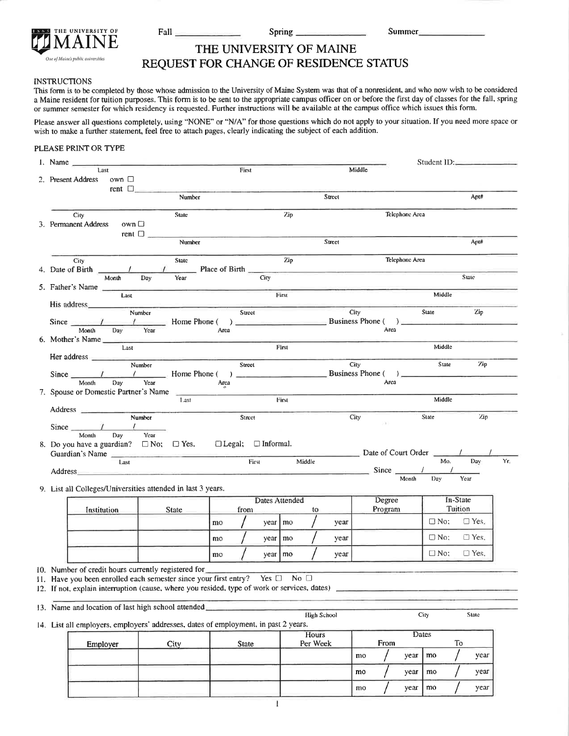|  | VIAI | THE UNIVERSITY OF                  |  |
|--|------|------------------------------------|--|
|  |      | One of Maine's public universities |  |

Fall

Spring.

year | mo

year

mo

## THE UNIVERSITY OF MAINE REQUEST FOR CHANGE OF RESIDENCE STATUS

#### **INSTRUCTIONS**

This form is to be completed by those whose admission to the University of Maine System was that of a nonresident, and who now wish to be considered a Maine resident for tuition purposes. This form is to be sent to the appropriate campus officer on or before the first day of classes for the fall, spring or summer semester for which residency is requested. Further instructions will be available at the campus office which issues this form.

Please answer all questions completely, using "NONE" or "N/A" for those questions which do not apply to your situation. If you need more space or wish to make a further statement, feel free to attach pages, clearly indicating the subject of each addition.

#### PLEASE PRINT OR TYPE

| 1. Name            |                                                                                                                                                                                                                                |               |        |                |                                                     |                                                                                                                                                                                       |              |                       |           |                    |        |             |                   |                | Student ID:                                                                                                                                                                                                                                                                                                                                                                                                                     |                     |             |     |
|--------------------|--------------------------------------------------------------------------------------------------------------------------------------------------------------------------------------------------------------------------------|---------------|--------|----------------|-----------------------------------------------------|---------------------------------------------------------------------------------------------------------------------------------------------------------------------------------------|--------------|-----------------------|-----------|--------------------|--------|-------------|-------------------|----------------|---------------------------------------------------------------------------------------------------------------------------------------------------------------------------------------------------------------------------------------------------------------------------------------------------------------------------------------------------------------------------------------------------------------------------------|---------------------|-------------|-----|
| 2. Present Address |                                                                                                                                                                                                                                | Last<br>own □ |        | $rent \Box$    |                                                     |                                                                                                                                                                                       | First        |                       |           |                    |        | Middle      |                   |                |                                                                                                                                                                                                                                                                                                                                                                                                                                 |                     |             |     |
|                    |                                                                                                                                                                                                                                |               |        |                | Number                                              |                                                                                                                                                                                       |              |                       |           |                    | Street |             |                   |                |                                                                                                                                                                                                                                                                                                                                                                                                                                 |                     | Apt#        |     |
|                    | City<br>3. Permanent Address                                                                                                                                                                                                   |               | own □  |                | <b>State</b>                                        |                                                                                                                                                                                       |              |                       | Zip       |                    |        |             |                   | Telephone Area |                                                                                                                                                                                                                                                                                                                                                                                                                                 |                     |             |     |
|                    |                                                                                                                                                                                                                                |               |        | rent $\square$ | Number                                              |                                                                                                                                                                                       |              |                       |           |                    | Street |             |                   |                |                                                                                                                                                                                                                                                                                                                                                                                                                                 |                     | Apt#        |     |
|                    | City                                                                                                                                                                                                                           |               |        |                | <b>State</b>                                        |                                                                                                                                                                                       |              |                       | Zip       |                    |        |             |                   | Telephone Area |                                                                                                                                                                                                                                                                                                                                                                                                                                 |                     |             |     |
|                    |                                                                                                                                                                                                                                |               |        |                |                                                     | 4. Date of Birth $\frac{1}{\frac{1}{\text{Month}} \cdot \text{Day}}$ Place of Birth $\frac{1}{\text{City}}$                                                                           |              |                       |           |                    |        |             |                   |                |                                                                                                                                                                                                                                                                                                                                                                                                                                 |                     | State       |     |
|                    | 5. Father's Name                                                                                                                                                                                                               |               | Last   |                |                                                     |                                                                                                                                                                                       |              |                       | First     |                    |        |             |                   |                | Middle                                                                                                                                                                                                                                                                                                                                                                                                                          |                     |             |     |
|                    | His address                                                                                                                                                                                                                    |               | Number |                |                                                     |                                                                                                                                                                                       | Street       |                       |           |                    |        | <b>City</b> |                   |                | State                                                                                                                                                                                                                                                                                                                                                                                                                           |                     | Zip         |     |
|                    |                                                                                                                                                                                                                                |               |        |                |                                                     |                                                                                                                                                                                       |              |                       |           |                    |        |             |                   |                |                                                                                                                                                                                                                                                                                                                                                                                                                                 |                     |             |     |
|                    | 6. Mother's Name                                                                                                                                                                                                               |               | Last   |                |                                                     |                                                                                                                                                                                       |              |                       | First     |                    |        |             |                   |                | Middle                                                                                                                                                                                                                                                                                                                                                                                                                          |                     |             |     |
|                    |                                                                                                                                                                                                                                |               |        |                |                                                     | Her address <u>Number</u>                                                                                                                                                             | Street       |                       |           |                    |        | City        |                   |                | State                                                                                                                                                                                                                                                                                                                                                                                                                           |                     | $2$ ip      |     |
|                    |                                                                                                                                                                                                                                |               |        |                |                                                     |                                                                                                                                                                                       |              |                       |           |                    |        |             |                   |                |                                                                                                                                                                                                                                                                                                                                                                                                                                 |                     |             |     |
|                    |                                                                                                                                                                                                                                |               |        |                | 7. Spouse or Domestic Partner's Name<br>Last        |                                                                                                                                                                                       |              |                       | First     |                    |        |             |                   |                | Middle                                                                                                                                                                                                                                                                                                                                                                                                                          |                     |             |     |
|                    |                                                                                                                                                                                                                                |               | Number |                |                                                     |                                                                                                                                                                                       | Street       |                       |           |                    |        | City        |                   |                | State                                                                                                                                                                                                                                                                                                                                                                                                                           |                     | Zip         |     |
|                    | Since $\frac{l}{l}$ $\frac{l}{l}$<br>Month                                                                                                                                                                                     | Day           |        | Year           | 8. Do you have a guardian? $\Box$ No; $\Box$ Yes.   | $\Box$ Legal; $\Box$ Informal.                                                                                                                                                        |              |                       |           |                    |        |             |                   |                |                                                                                                                                                                                                                                                                                                                                                                                                                                 |                     |             |     |
|                    | Guardian's Name                                                                                                                                                                                                                |               | Last   |                |                                                     |                                                                                                                                                                                       |              | First Middle          |           |                    |        |             |                   |                | Date of Court Order                                                                                                                                                                                                                                                                                                                                                                                                             | Mo.                 | Day         | Yr. |
|                    | Address and the state of the state of the state of the state of the state of the state of the state of the state of the state of the state of the state of the state of the state of the state of the state of the state of th |               |        |                |                                                     |                                                                                                                                                                                       |              |                       |           |                    |        |             |                   |                | $\frac{1}{\sqrt{1-\frac{1}{2}}}\frac{1}{\sqrt{1-\frac{1}{2}}}\frac{1}{\sqrt{1-\frac{1}{2}}}\frac{1}{\sqrt{1-\frac{1}{2}}}\frac{1}{\sqrt{1-\frac{1}{2}}}\frac{1}{\sqrt{1-\frac{1}{2}}}\frac{1}{\sqrt{1-\frac{1}{2}}}\frac{1}{\sqrt{1-\frac{1}{2}}}\frac{1}{\sqrt{1-\frac{1}{2}}}\frac{1}{\sqrt{1-\frac{1}{2}}}\frac{1}{\sqrt{1-\frac{1}{2}}}\frac{1}{\sqrt{1-\frac{1}{2}}}\frac{1}{\sqrt{1-\frac{1}{2}}}\frac{1}{\sqrt{1-\frac{$ |                     |             |     |
|                    |                                                                                                                                                                                                                                |               |        |                |                                                     | 9. List all Colleges/Universities attended in last 3 years.                                                                                                                           |              |                       |           |                    |        |             |                   |                |                                                                                                                                                                                                                                                                                                                                                                                                                                 |                     |             |     |
|                    |                                                                                                                                                                                                                                | Institution   |        |                | <b>State</b>                                        |                                                                                                                                                                                       | from         | <b>Dates Attended</b> |           | to                 |        |             | Degree<br>Program |                |                                                                                                                                                                                                                                                                                                                                                                                                                                 | In-State<br>Tuition |             |     |
|                    |                                                                                                                                                                                                                                |               |        |                |                                                     | mo                                                                                                                                                                                    |              |                       | year   mo |                    | year   |             |                   |                | $\Box$ No: $\Box$ Yes.                                                                                                                                                                                                                                                                                                                                                                                                          |                     |             |     |
|                    |                                                                                                                                                                                                                                |               |        |                |                                                     | mo                                                                                                                                                                                    |              | year   mo             |           |                    | year   |             |                   |                | $\square$ No:                                                                                                                                                                                                                                                                                                                                                                                                                   |                     | $\Box$ Yes. |     |
|                    |                                                                                                                                                                                                                                |               |        |                |                                                     | mo                                                                                                                                                                                    |              | year   mo             |           |                    | year   |             |                   |                | $\Box$ No:                                                                                                                                                                                                                                                                                                                                                                                                                      |                     | $\Box$ Yes. |     |
|                    |                                                                                                                                                                                                                                |               |        |                | 10. Number of credit hours currently registered for | 11. Have you been enrolled each semester since your first entry? Yes $\Box$ No $\Box$<br>12. If not, explain interruption (cause, where you resided, type of work or services, dates) |              |                       |           |                    |        |             |                   |                |                                                                                                                                                                                                                                                                                                                                                                                                                                 |                     |             |     |
|                    |                                                                                                                                                                                                                                |               |        |                | 13. Name and location of last high school attended. |                                                                                                                                                                                       |              |                       |           |                    |        |             |                   |                |                                                                                                                                                                                                                                                                                                                                                                                                                                 |                     |             |     |
|                    |                                                                                                                                                                                                                                |               |        |                |                                                     | 14. List all employers, employers' addresses, dates of employment, in past 2 years.                                                                                                   |              |                       |           | <b>High School</b> |        |             |                   |                | City                                                                                                                                                                                                                                                                                                                                                                                                                            |                     | State       |     |
|                    |                                                                                                                                                                                                                                |               |        |                |                                                     |                                                                                                                                                                                       |              |                       |           | <b>Hours</b>       |        |             |                   |                | Dates                                                                                                                                                                                                                                                                                                                                                                                                                           |                     |             |     |
|                    |                                                                                                                                                                                                                                | Employer      |        |                | City                                                |                                                                                                                                                                                       | <b>State</b> |                       |           | Per Week           |        | mo          | <b>From</b>       | year           | mo                                                                                                                                                                                                                                                                                                                                                                                                                              | To                  | year        |     |
|                    |                                                                                                                                                                                                                                |               |        |                |                                                     |                                                                                                                                                                                       |              |                       |           |                    |        | mo          |                   | year           | mo                                                                                                                                                                                                                                                                                                                                                                                                                              |                     | year        |     |
|                    |                                                                                                                                                                                                                                |               |        |                |                                                     |                                                                                                                                                                                       |              |                       |           |                    |        |             |                   |                |                                                                                                                                                                                                                                                                                                                                                                                                                                 |                     |             |     |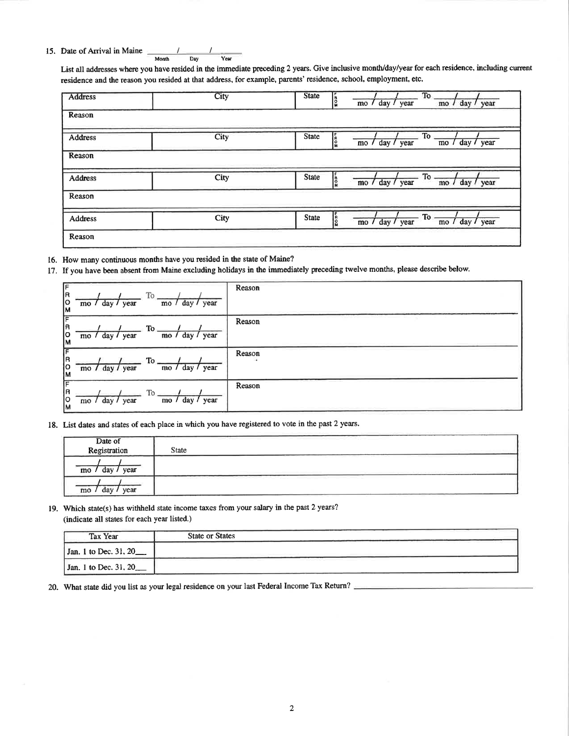15. Date of Arrival in Maine

 $M$ onth  $\overline{$  Day Year

List all addresses where you have resided in the immediate preceding 2 years. Give inclusive month/day/year for each residence, including current residence and the reason you resided at that address, for example, parents' residence, school, employment, etc.

| Address        | City | To<br><b>State</b><br>ין<br>ג<br>mo / day / year<br>mo / day / year                                                |
|----------------|------|--------------------------------------------------------------------------------------------------------------------|
| Reason         |      |                                                                                                                    |
| <b>Address</b> | City | <b>To</b><br><b>PRO</b><br><b>State</b><br>day / year<br>mo / day / year<br>$\text{mo}$ /                          |
| Reason         |      |                                                                                                                    |
| <b>Address</b> | City | <b>State</b><br>To $\frac{1}{\sqrt{1 - \frac{1}{\sqrt{1}}}}$<br>n<br>M<br>mo / day / year                          |
| Reason         |      |                                                                                                                    |
| <b>Address</b> | City | $\sqrt{10 - \frac{1}{\text{mo}} \cdot \frac{1}{\text{day}}}$<br><b>State</b><br>န္<br>မ<br>year<br>mo / day / year |
| Reason         |      |                                                                                                                    |

- 16. How many continuous months have you resided in the state of Maine?
- 17. If you have been absent from Maine excluding holidays in the immediately preceding twelve months, please describe below.

| ١F<br> R<br> 0<br> м | day / year<br>$\text{mo}$ / | To.<br>year<br>day/<br>$\text{mo}$ / | Reason |
|----------------------|-----------------------------|--------------------------------------|--------|
| F<br> R<br> о<br> м  | mo / day / year             | To.<br>day / year<br>$\mathbf{mo}$ / | Reason |
| ΓF<br>lR<br> о<br> м | mo / day / year             | To.<br>day /<br>year<br>mo /         | Reason |
| ╔<br>lя<br> о<br> м  | mo / day / year             | To<br>day/<br>year<br>m <sub>o</sub> | Reason |

18. List dates and states of each place in which you have registered to vote in the past 2 years.

| Date of<br>Registration                       | an gaban dan bahasa dan bahasa dan bahasa dan bahasa dan bahasa dan bahasa dan bahasa dalam bahasa dan bahasa<br><b>State</b>                         | <u> 1980 - Andrea Andrew Marie Andrew Marie Andrew Marie Andrew Marie Andrew Marie Andrew Marie Andrew Marie Andrew Marie Andrew Marie Andrew Marie Andrew Marie Andrew Marie Andrew Marie Andrew Marie Andrew Marie Andrew Mari</u>   |
|-----------------------------------------------|-------------------------------------------------------------------------------------------------------------------------------------------------------|----------------------------------------------------------------------------------------------------------------------------------------------------------------------------------------------------------------------------------------|
| year<br>mo                                    |                                                                                                                                                       | -775<br>Chi (The property in the case of the Chi (The property Chi and in terminal Chi (Chi) (Chi control of the Chi) (Chi) (Chi) (Chi) (Chi) (Chi) (Chi) (Chi) (Chi) (Chi) (Chi) (Chi) (Chi) (Chi) (Chi) (Chi) (Chi) (Chi) (Chi) (Chi |
| Company, Service Company, S. 20<br>year<br>mo | the problem state participation of the state of the control of the control of the control of<br>the company of the company of the company of<br>_____ | _____<br>comments and comments of the com-<br>the control of the control of the control of the control of the control of the control of the control of the c                                                                           |

19. Which state(s) has withheld state income taxes from your salary in the past 2 years? (indicate all states for each year listed.)

| <b>Tax Year</b>           | <b>State or States</b> |
|---------------------------|------------------------|
| Jan. 1 to Dec. 31, 20____ |                        |
| Jan. 1 to Dec. 31, 20     |                        |

20. What state did you list as your legal residence on your last Federal Income Tax Return?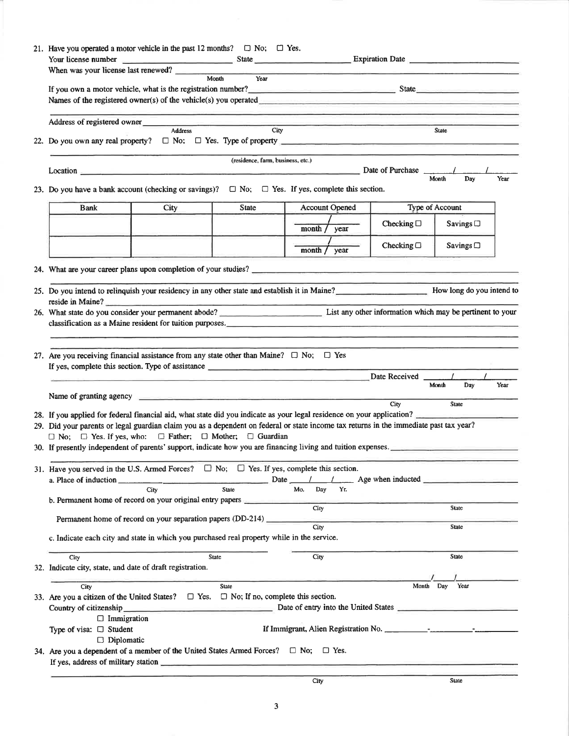| 21. Have you operated a motor vehicle in the past 12 months? $\Box$ No; $\Box$ Yes.                                                                                                                                                                              |                                                                                                                                                                                                                                |                                   |                       |                    |                 |      |
|------------------------------------------------------------------------------------------------------------------------------------------------------------------------------------------------------------------------------------------------------------------|--------------------------------------------------------------------------------------------------------------------------------------------------------------------------------------------------------------------------------|-----------------------------------|-----------------------|--------------------|-----------------|------|
| When was your license last renewed?                                                                                                                                                                                                                              |                                                                                                                                                                                                                                |                                   |                       |                    |                 |      |
|                                                                                                                                                                                                                                                                  | Month                                                                                                                                                                                                                          | Year                              |                       |                    |                 |      |
| If you own a motor vehicle, what is the registration number?<br>State                                                                                                                                                                                            |                                                                                                                                                                                                                                |                                   |                       |                    |                 |      |
|                                                                                                                                                                                                                                                                  |                                                                                                                                                                                                                                |                                   |                       |                    |                 |      |
| Address of registered owner                                                                                                                                                                                                                                      | Address                                                                                                                                                                                                                        | City                              |                       |                    | <b>State</b>    |      |
|                                                                                                                                                                                                                                                                  |                                                                                                                                                                                                                                |                                   |                       |                    |                 |      |
|                                                                                                                                                                                                                                                                  |                                                                                                                                                                                                                                | (residence, farm, business, etc.) |                       |                    |                 |      |
| <b>Location</b>                                                                                                                                                                                                                                                  |                                                                                                                                                                                                                                |                                   |                       | Date of Purchase   | Month<br>Day    | Year |
| 23. Do you have a bank account (checking or savings)? $\Box$ No; $\Box$ Yes. If yes, complete this section.                                                                                                                                                      |                                                                                                                                                                                                                                |                                   |                       |                    |                 |      |
| <b>Bank</b>                                                                                                                                                                                                                                                      | City                                                                                                                                                                                                                           | State                             | <b>Account Opened</b> |                    | Type of Account |      |
|                                                                                                                                                                                                                                                                  |                                                                                                                                                                                                                                |                                   | month $/$ year        | Checking $\Box$    | Savings $\Box$  |      |
|                                                                                                                                                                                                                                                                  |                                                                                                                                                                                                                                |                                   | month /<br>year       | Checking $\square$ | Savings $\Box$  |      |
|                                                                                                                                                                                                                                                                  |                                                                                                                                                                                                                                |                                   |                       |                    |                 |      |
|                                                                                                                                                                                                                                                                  |                                                                                                                                                                                                                                |                                   |                       |                    |                 |      |
| 25. Do you intend to relinquish your residency in any other state and establish it in Maine?___________________________ How long do you intend to<br>reside in Maine?                                                                                            |                                                                                                                                                                                                                                |                                   |                       |                    |                 |      |
|                                                                                                                                                                                                                                                                  |                                                                                                                                                                                                                                |                                   |                       |                    |                 |      |
|                                                                                                                                                                                                                                                                  | classification as a Maine resident for tuition purposes.                                                                                                                                                                       |                                   |                       |                    |                 |      |
|                                                                                                                                                                                                                                                                  |                                                                                                                                                                                                                                |                                   |                       |                    |                 |      |
| 27. Are you receiving financial assistance from any state other than Maine? $\Box$ No; $\Box$ Yes                                                                                                                                                                |                                                                                                                                                                                                                                |                                   |                       |                    |                 |      |
| If yes, complete this section. Type of assistance _______________________________                                                                                                                                                                                |                                                                                                                                                                                                                                |                                   |                       |                    |                 |      |
|                                                                                                                                                                                                                                                                  |                                                                                                                                                                                                                                |                                   |                       | Date Received      |                 |      |
|                                                                                                                                                                                                                                                                  | Name of granting agency                                                                                                                                                                                                        |                                   |                       |                    | Day<br>Month    | Year |
|                                                                                                                                                                                                                                                                  |                                                                                                                                                                                                                                |                                   |                       | City               | <b>State</b>    |      |
| 28. If you applied for federal financial aid, what state did you indicate as your legal residence on your application?<br>29. Did your parents or legal guardian claim you as a dependent on federal or state income tax returns in the immediate past tax year? |                                                                                                                                                                                                                                |                                   |                       |                    |                 |      |
| $\Box$ No; $\Box$ Yes. If yes, who: $\Box$ Father; $\Box$ Mother; $\Box$ Guardian                                                                                                                                                                                |                                                                                                                                                                                                                                |                                   |                       |                    |                 |      |
| 30. If presently independent of parents' support, indicate how you are financing living and tuition expenses.                                                                                                                                                    |                                                                                                                                                                                                                                |                                   |                       |                    |                 |      |
| 31. Have you served in the U.S. Armed Forces? $\Box$ No; $\Box$ Yes. If yes, complete this section.                                                                                                                                                              |                                                                                                                                                                                                                                |                                   |                       |                    |                 |      |
| a. Place of induction _                                                                                                                                                                                                                                          | $\frac{1}{2}$ Date $\frac{1}{2}$ Age when inducted $\frac{1}{2}$                                                                                                                                                               |                                   |                       |                    |                 |      |
|                                                                                                                                                                                                                                                                  | City                                                                                                                                                                                                                           | <b>State</b>                      | Yr.<br>Mo.<br>Day     |                    |                 |      |
|                                                                                                                                                                                                                                                                  | b. Permanent home of record on your original entry papers                                                                                                                                                                      |                                   | City                  |                    | State           |      |
|                                                                                                                                                                                                                                                                  | Permanent home of record on your separation papers (DD-214)                                                                                                                                                                    |                                   | City                  |                    | State           |      |
|                                                                                                                                                                                                                                                                  | c. Indicate each city and state in which you purchased real property while in the service.                                                                                                                                     |                                   |                       |                    |                 |      |
| City                                                                                                                                                                                                                                                             | <b>State</b>                                                                                                                                                                                                                   |                                   | City                  |                    | State           |      |
| 32. Indicate city, state, and date of draft registration.                                                                                                                                                                                                        |                                                                                                                                                                                                                                |                                   |                       |                    |                 |      |
| City                                                                                                                                                                                                                                                             |                                                                                                                                                                                                                                | <b>State</b>                      |                       | Month Day          | Year            |      |
| 33. Are you a citizen of the United States? $\Box$ Yes. $\Box$ No; If no, complete this section.                                                                                                                                                                 |                                                                                                                                                                                                                                |                                   |                       |                    |                 |      |
|                                                                                                                                                                                                                                                                  | Country of citizenship example and control of entry into the United States example and the United States example and the United States example and the United States example and the United States example and the United Stat |                                   |                       |                    |                 |      |
| $\Box$ Immigration                                                                                                                                                                                                                                               |                                                                                                                                                                                                                                |                                   |                       |                    |                 |      |
| Type of visa: □ Student<br>$\Box$ Diplomatic                                                                                                                                                                                                                     |                                                                                                                                                                                                                                |                                   |                       |                    |                 |      |
| 34. Are you a dependent of a member of the United States Armed Forces? $\Box$ No; $\Box$ Yes.                                                                                                                                                                    |                                                                                                                                                                                                                                |                                   |                       |                    |                 |      |
|                                                                                                                                                                                                                                                                  |                                                                                                                                                                                                                                |                                   |                       |                    |                 |      |